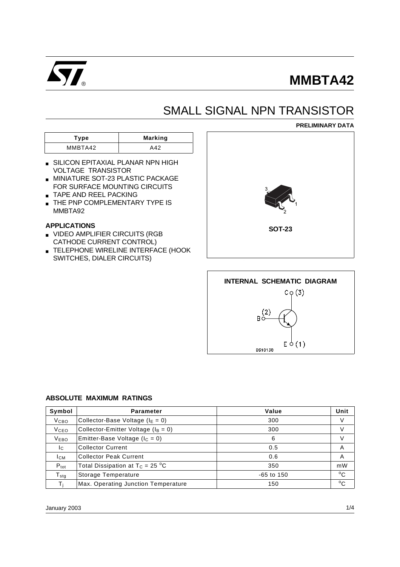

# **MMBTA42**

## SMALL SIGNAL NPN TRANSISTOR

**Type Marking** MMBTA42 A42

- SILICON EPITAXIAL PLANAR NPN HIGH VOLTAGE TRANSISTOR
- MINIATURE SOT-23 PLASTIC PACKAGE FOR SURFACE MOUNTING CIRCUITS
- TAPE AND REEL PACKING
- **THE PNP COMPLEMENTARY TYPE IS** MMBTA92

#### **APPLICATIONS**

- VIDEO AMPLIFIER CIRCUITS (RGB CATHODE CURRENT CONTROL)
- TELEPHONE WIRELINE INTERFACE (HOOK SWITCHES, DIALER CIRCUITS)





#### **ABSOLUTE MAXIMUM RATINGS**

| Symbol                                                  | <b>Parameter</b>                         | Value        | Unit         |
|---------------------------------------------------------|------------------------------------------|--------------|--------------|
| V <sub>CBO</sub>                                        | Collector-Base Voltage ( $I_E = 0$ )     | 300          | V            |
| Collector-Emitter Voltage ( $I_B = 0$ )<br><b>V</b> ceo |                                          | 300          | v            |
| <b>VEBO</b>                                             | Emitter-Base Voltage ( $\text{lc} = 0$ ) | 6            | V            |
| Ic.                                                     | <b>Collector Current</b>                 | 0.5          | A            |
| <b>I</b> CM                                             | <b>Collector Peak Current</b>            | 0.6          | A            |
| $P_{\text{tot}}$                                        | Total Dissipation at $T_C = 25 °C$       | 350          | mW           |
| $T_{\text{stg}}$                                        | Storage Temperature                      | $-65$ to 150 | $^{\circ}$ C |
| Τi                                                      | Max. Operating Junction Temperature      | 150          | $^{\circ}$ C |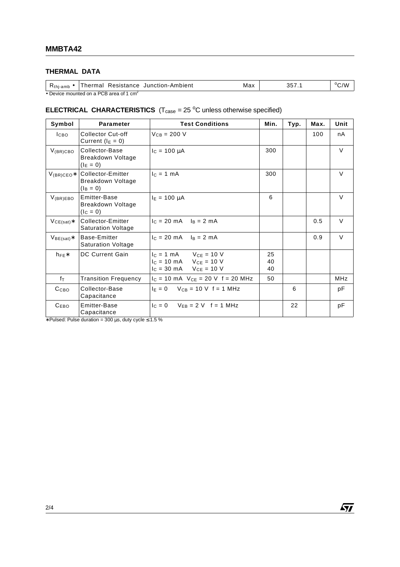### **THERMAL DATA**

| K <sub>thj-amb</sub>                      | Resistance<br>Thermal | Junction-Ambient | Max | ∽<br>ບບ 1 | /V<br>اب |
|-------------------------------------------|-----------------------|------------------|-----|-----------|----------|
| • Device mounted on a PCB area of 1 $cm2$ |                       |                  |     |           |          |

#### **ELECTRICAL CHARACTERISTICS**  $(T_{\text{case}} = 25 \text{ °C}$  unless otherwise specified)

| Symbol           | <b>Parameter</b>                                      | <b>Test Conditions</b>                                                                                                         | Min.           | Typ. | Max. | Unit       |
|------------------|-------------------------------------------------------|--------------------------------------------------------------------------------------------------------------------------------|----------------|------|------|------------|
| I <sub>CBO</sub> | Collector Cut-off<br>Current ( $I_E = 0$ )            | $V_{CB} = 200 V$                                                                                                               |                |      | 100  | nA         |
| $V_{(BR)CBO}$    | Collector-Base<br>Breakdown Voltage<br>$(I_E = 0)$    | $I_c = 100 \mu A$                                                                                                              | 300            |      |      | $\vee$     |
| $V_{(BR)CEO*}$   | Collector-Emitter<br>Breakdown Voltage<br>$(I_B = 0)$ | $c = 1$ mA                                                                                                                     | 300            |      |      | $\vee$     |
| $V_{(BR)EBO}$    | Emitter-Base<br>Breakdown Voltage<br>$(I_C = 0)$      | $I_E = 100 \mu A$                                                                                                              | 6              |      |      | $\vee$     |
| $VCE(sat)*$      | Collector-Emitter<br><b>Saturation Voltage</b>        | $c = 20 \text{ mA}$ $\ln z = 2 \text{ mA}$                                                                                     |                |      | 0.5  | $\vee$     |
| $VBE(sat)*$      | Base-Emitter<br><b>Saturation Voltage</b>             | $I_C = 20 \text{ mA}$ $I_B = 2 \text{ mA}$                                                                                     |                |      | 0.9  | $\vee$     |
| $h_{FE}$ *       | <b>DC Current Gain</b>                                | $I_C = 1$ mA $V_{CE} = 10$ V<br>$I_C = 10 \text{ mA}$ $V_{CE} = 10 \text{ V}$<br>$I_C = 30 \text{ mA}$ $V_{CE} = 10 \text{ V}$ | 25<br>40<br>40 |      |      |            |
| fτ               | <b>Transition Frequency</b>                           | $I_C = 10$ mA $V_{CE} = 20$ V f = 20 MHz                                                                                       | 50             |      |      | <b>MHz</b> |
| C <sub>CBO</sub> | Collector-Base<br>Capacitance                         | $I_E = 0$ $V_{CB} = 10$ V f = 1 MHz                                                                                            |                | 6    |      | pF         |
| C <sub>EBO</sub> | Emitter-Base<br>Capacitance                           | $ c = 0$ $V_{FR} = 2$ V $f = 1$ MHz                                                                                            |                | 22   |      | рF         |

∗ Pulsed: Pulse duration = 300 µs, duty cycle ≤ 1.5 %

 $\sqrt{M}$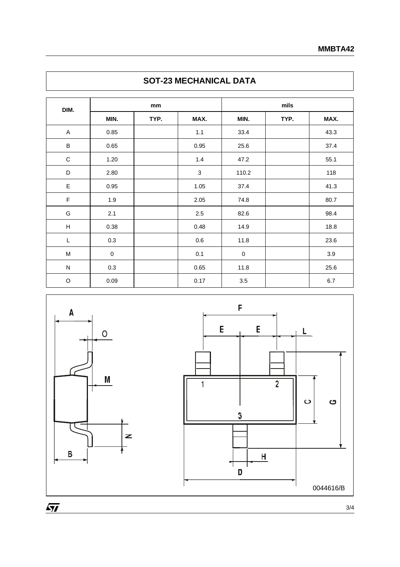|  | mm   |      |      | mils |      |      |
|--|------|------|------|------|------|------|
|  | MIN. | TYP. | MAX. | MIN. | TYP. | MAX. |
|  | 0.85 |      | 1.1  | 33.4 |      | 43.3 |
|  | 0.65 |      | 0.95 | 25.6 |      | 37.4 |
|  |      |      |      |      |      |      |

## **SOT-23 MECHANICAL DATA**





**DIM.**